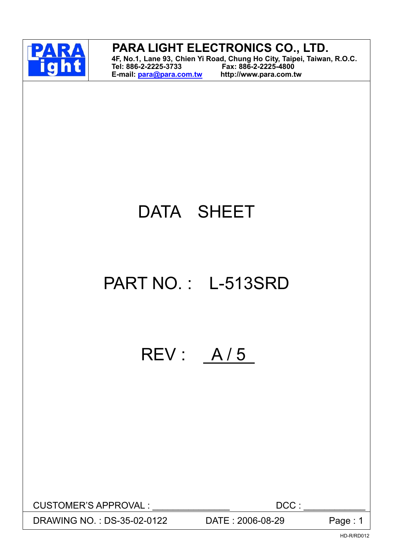

## **PARA LIGHT ELECTRONICS CO., LTD.**

**4F, No.1, Lane 93, Chien Yi Road, Chung Ho City, Taipei, Taiwan, R.O.C. Tel: 886-2-2225-3733 Fax: 886-2-2225-4800 E-mail: para@para.com.tw http://www.para.com.tw** 

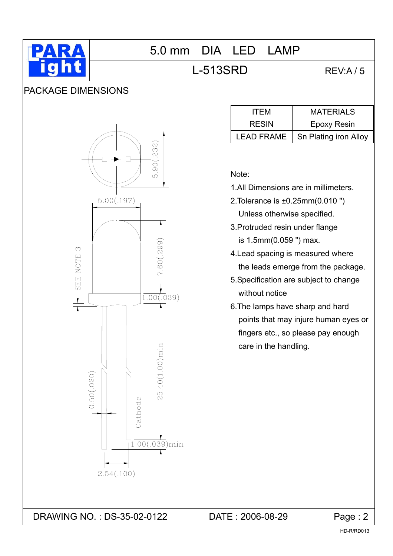

## L-513SRD REV:A/5

#### PACKAGE DIMENSIONS



| <b>ITEM</b>       | <b>MATERIALS</b>      |
|-------------------|-----------------------|
| <b>RESIN</b>      | <b>Epoxy Resin</b>    |
| <b>LEAD FRAME</b> | Sn Plating iron Alloy |

Note:

- 1.All Dimensions are in millimeters.
- 2.Tolerance is ±0.25mm(0.010 ") Unless otherwise specified.
- 3.Protruded resin under flange is 1.5mm(0.059 ") max.
- 4.Lead spacing is measured where the leads emerge from the package.
- 5.Specification are subject to change without notice
- 6.The lamps have sharp and hard points that may injure human eyes or fingers etc., so please pay enough care in the handling.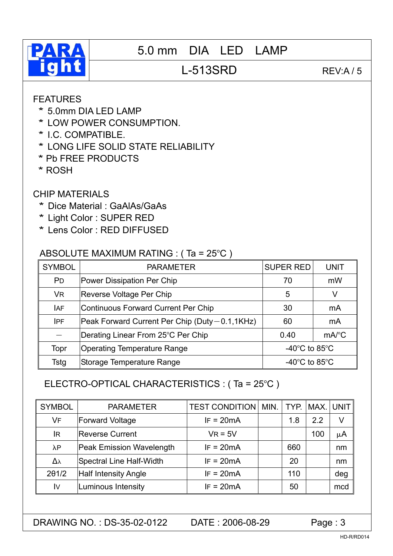

# **PARA** 5.0 mm DIA LED LAMP

## L-513SRD REV:A/5

#### FEATURES

- \* 5.0mm DIA LED LAMP
- \* LOW POWER CONSUMPTION.
- \* I.C. COMPATIBLE.
- \* LONG LIFE SOLID STATE RELIABILITY
- \* Pb FREE PRODUCTS
- \* ROSH

#### CHIP MATERIALS

- \* Dice Material : GaAlAs/GaAs
- \* Light Color : SUPER RED
- \* Lens Color : RED DIFFUSED

#### ABSOLUTE MAXIMUM RATING : ( Ta = 25°C )

| <b>SYMBOL</b>  | <b>PARAMETER</b>                                 | <b>SUPER RED</b>                    | <b>UNIT</b>         |
|----------------|--------------------------------------------------|-------------------------------------|---------------------|
| P <sub>D</sub> | Power Dissipation Per Chip                       | 70                                  | mW                  |
| <b>VR</b>      | Reverse Voltage Per Chip                         | 5                                   | V                   |
| <b>IAF</b>     | Continuous Forward Current Per Chip              | 30                                  | mA                  |
| <b>IPF</b>     | Peak Forward Current Per Chip (Duty - 0.1, 1KHz) | 60                                  | mA                  |
|                | Derating Linear From 25°C Per Chip               | 0.40                                | $mA$ <sup>°</sup> C |
| Topr           | <b>Operating Temperature Range</b>               | -40 $^{\circ}$ C to 85 $^{\circ}$ C |                     |
| Tstg           | Storage Temperature Range                        | -40 $^{\circ}$ C to 85 $^{\circ}$ C |                     |

#### ELECTRO-OPTICAL CHARACTERISTICS : ( Ta = 25°C )

| <b>SYMBOL</b>          | <b>PARAMETER</b>                | <b>TEST CONDITION   MIN.   TYP.</b> |     | MAX. UNIT |         |
|------------------------|---------------------------------|-------------------------------------|-----|-----------|---------|
| VF                     | <b>Forward Voltage</b>          | $IF = 20mA$                         | 1.8 | 2.2       | V       |
| <b>IR</b>              | <b>Reverse Current</b>          | $VR = 5V$                           |     | 100       | $\mu$ A |
| $\lambda$ P            | <b>Peak Emission Wavelength</b> | $IF = 20mA$                         | 660 |           | nm      |
| Δλ                     | <b>Spectral Line Half-Width</b> | $IF = 20mA$                         | 20  |           | nm      |
| $2\theta$ 1/2          | <b>Half Intensity Angle</b>     | $IF = 20mA$                         | 110 |           | deg     |
| $\mathsf{I}\mathsf{V}$ | Luminous Intensity              | $IF = 20mA$                         | 50  |           | mcd     |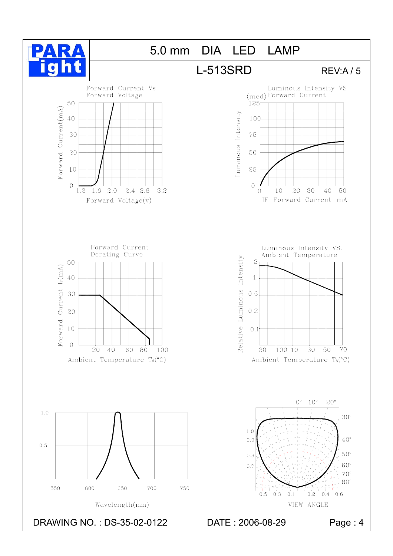

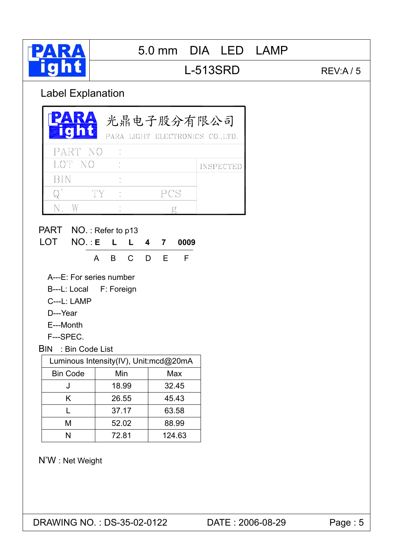

## L-513SRD REV:A / 5

## Label Explanation

| PART NO<br>LOT NO<br><b>INSPECTED</b><br>BIN<br>$Q^{\prime}$<br>PCS<br>TY<br>$N_{\cdot}$<br>W<br>g<br>PART NO.: Refer to p13<br>LOT NO.:E L<br>$\mathsf{L}$<br>4 7<br>0009<br>E<br>$\mathsf{C}$<br>$\mathsf{B}$<br>D<br>F<br>A<br>A---E: For series number<br>B---L: Local F: Foreign<br>C---L: LAMP<br>D---Year<br>E---Month<br>F---SPEC.<br><b>BIN</b> : Bin Code List<br>Luminous Intensity(IV), Unit:mcd@20mA<br><b>Bin Code</b><br>Min<br>Max<br>18.99<br>32.45<br>J<br>26.55<br>45.43<br>K<br>37.17<br>63.58<br>L<br>M<br>52.02<br>88.99<br>72.81<br>124.63 |   |  |  | 光鼎电子股分有限公司<br>PARA LIGHT ELECTRONICS CO., LTD. |
|-------------------------------------------------------------------------------------------------------------------------------------------------------------------------------------------------------------------------------------------------------------------------------------------------------------------------------------------------------------------------------------------------------------------------------------------------------------------------------------------------------------------------------------------------------------------|---|--|--|------------------------------------------------|
|                                                                                                                                                                                                                                                                                                                                                                                                                                                                                                                                                                   |   |  |  |                                                |
|                                                                                                                                                                                                                                                                                                                                                                                                                                                                                                                                                                   |   |  |  |                                                |
|                                                                                                                                                                                                                                                                                                                                                                                                                                                                                                                                                                   |   |  |  |                                                |
|                                                                                                                                                                                                                                                                                                                                                                                                                                                                                                                                                                   |   |  |  |                                                |
|                                                                                                                                                                                                                                                                                                                                                                                                                                                                                                                                                                   |   |  |  |                                                |
|                                                                                                                                                                                                                                                                                                                                                                                                                                                                                                                                                                   |   |  |  |                                                |
|                                                                                                                                                                                                                                                                                                                                                                                                                                                                                                                                                                   |   |  |  |                                                |
|                                                                                                                                                                                                                                                                                                                                                                                                                                                                                                                                                                   |   |  |  |                                                |
|                                                                                                                                                                                                                                                                                                                                                                                                                                                                                                                                                                   |   |  |  |                                                |
|                                                                                                                                                                                                                                                                                                                                                                                                                                                                                                                                                                   |   |  |  |                                                |
|                                                                                                                                                                                                                                                                                                                                                                                                                                                                                                                                                                   |   |  |  |                                                |
|                                                                                                                                                                                                                                                                                                                                                                                                                                                                                                                                                                   |   |  |  |                                                |
|                                                                                                                                                                                                                                                                                                                                                                                                                                                                                                                                                                   |   |  |  |                                                |
|                                                                                                                                                                                                                                                                                                                                                                                                                                                                                                                                                                   |   |  |  |                                                |
|                                                                                                                                                                                                                                                                                                                                                                                                                                                                                                                                                                   |   |  |  |                                                |
|                                                                                                                                                                                                                                                                                                                                                                                                                                                                                                                                                                   | N |  |  |                                                |

N'W : Net Weight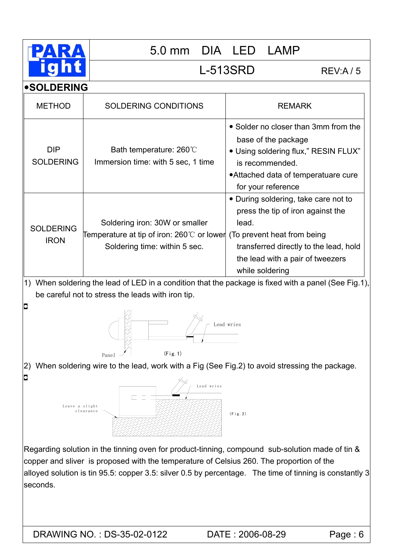

L-513SRD REV:A / 5

**•SOLDERING** 

| <b>METHOD</b>                              | <b>SOLDERING CONDITIONS</b>                                                                                                                                                                 | <b>REMARK</b>                                                                                                                                                                        |
|--------------------------------------------|---------------------------------------------------------------------------------------------------------------------------------------------------------------------------------------------|--------------------------------------------------------------------------------------------------------------------------------------------------------------------------------------|
| <b>DIP</b><br><b>SOLDERING</b>             | Bath temperature: 260°C<br>Immersion time: with 5 sec, 1 time                                                                                                                               | • Solder no closer than 3mm from the<br>base of the package<br>• Using soldering flux," RESIN FLUX"<br>is recommended.<br>• Attached data of temperatuare cure<br>for your reference |
| <b>SOLDERING</b><br><b>IRON</b>            | Soldering iron: 30W or smaller<br>Temperature at tip of iron: 260 $\mathbb C$ or lower (To prevent heat from being<br>Soldering time: within 5 sec.                                         | • During soldering, take care not to<br>press the tip of iron against the<br>lead.<br>transferred directly to the lead, hold<br>the lead with a pair of tweezers<br>while soldering  |
| 1)                                         |                                                                                                                                                                                             | When soldering the lead of LED in a condition that the package is fixed with a panel (See Fig.1),                                                                                    |
|                                            | be careful not to stress the leads with iron tip.                                                                                                                                           |                                                                                                                                                                                      |
| $\Box$                                     | (Fig. 1)<br>Panel                                                                                                                                                                           | Lead wries                                                                                                                                                                           |
| 2)                                         | When soldering wire to the lead, work with a Fig (See Fig.2) to avoid stressing the package.                                                                                                |                                                                                                                                                                                      |
| $\overline{\phantom{a}}$<br>Leave a slight | Lead wries<br>clearance                                                                                                                                                                     | (Fig. 2)                                                                                                                                                                             |
| seconds.                                   | Regarding solution in the tinning oven for product-tinning, compound sub-solution made of tin &<br>copper and sliver is proposed with the temperature of Celsius 260. The proportion of the | alloyed solution is tin 95.5: copper 3.5: silver 0.5 by percentage. The time of tinning is constantly 3                                                                              |
|                                            | DRAWING NO.: DS-35-02-0122                                                                                                                                                                  | DATE: 2006-08-29<br>Page : 6                                                                                                                                                         |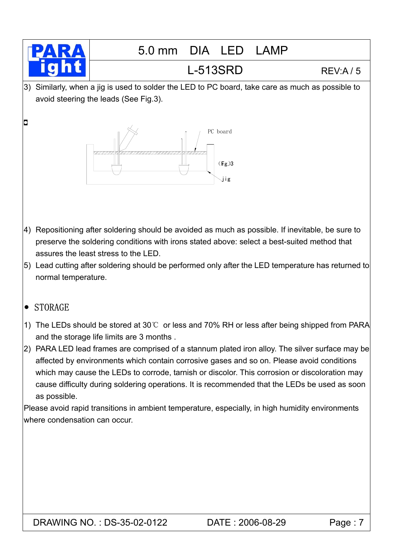

г

# 5.0 mm DIA LED LAMP

# L-513SRD REV:A / 5

3) Similarly, when a jig is used to solder the LED to PC board, take care as much as possible to avoid steering the leads (See Fig.3).



- 4) Repositioning after soldering should be avoided as much as possible. If inevitable, be sure to preserve the soldering conditions with irons stated above: select a best-suited method that assures the least stress to the LED.
- 5) Lead cutting after soldering should be performed only after the LED temperature has returned to normal temperature.

#### $\bullet$  STORAGE

- 1) The LEDs should be stored at 30℃ or less and 70% RH or less after being shipped from PARA and the storage life limits are 3 months .
- 2) PARA LED lead frames are comprised of a stannum plated iron alloy. The silver surface may be affected by environments which contain corrosive gases and so on. Please avoid conditions which may cause the LEDs to corrode, tarnish or discolor. This corrosion or discoloration may cause difficulty during soldering operations. It is recommended that the LEDs be used as soon as possible.

Please avoid rapid transitions in ambient temperature, especially, in high humidity environments where condensation can occur.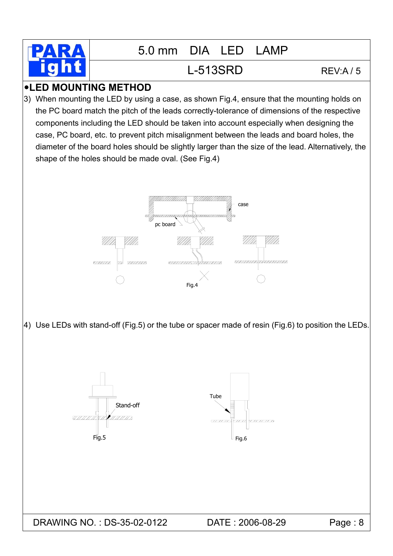

## L-513SRD REV:A / 5

#### **•LED MOUNTING METHOD**

3) When mounting the LED by using a case, as shown Fig.4, ensure that the mounting holds on the PC board match the pitch of the leads correctly-tolerance of dimensions of the respective components including the LED should be taken into account especially when designing the case, PC board, etc. to prevent pitch misalignment between the leads and board holes, the diameter of the board holes should be slightly larger than the size of the lead. Alternatively, the shape of the holes should be made oval. (See Fig.4)



4) Use LEDs with stand-off (Fig.5) or the tube or spacer made of resin (Fig.6) to position the LEDs.

Stand-off ,,,,,,,,,  $V/T/T/T/2$ 

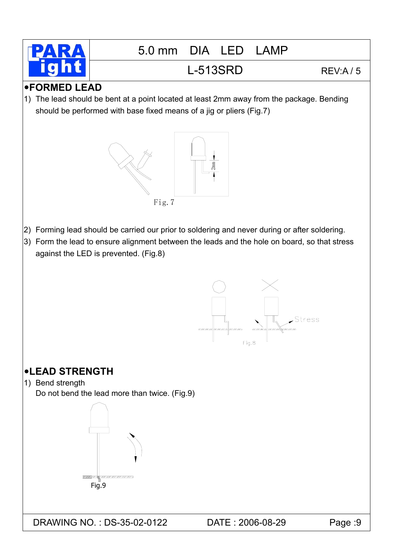

# L-513SRD REV:A / 5

### y**FORMED LEAD**

1) The lead should be bent at a point located at least 2mm away from the package. Bending should be performed with base fixed means of a jig or pliers (Fig.7)



- 2) Forming lead should be carried our prior to soldering and never during or after soldering.
- 3) Form the lead to ensure alignment between the leads and the hole on board, so that stress against the LED is prevented. (Fig.8)



## y**LEAD STRENGTH**

1) Bend strength

Do not bend the lead more than twice. (Fig.9)

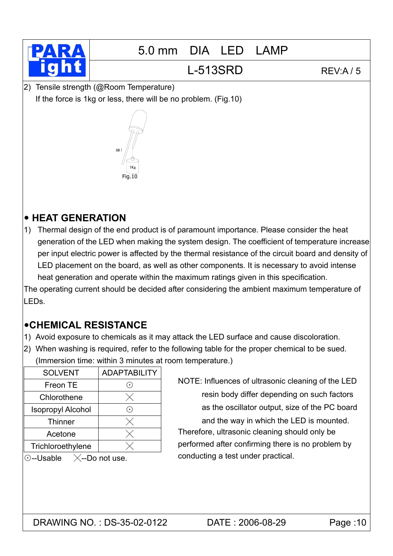

## L-513SRD REV:A / 5

2) Tensile strength (@Room Temperature) If the force is 1kg or less, there will be no problem. (Fig.10)



#### y **HEAT GENERATION**

1) Thermal design of the end product is of paramount importance. Please consider the heat generation of the LED when making the system design. The coefficient of temperature increase per input electric power is affected by the thermal resistance of the circuit board and density of LED placement on the board, as well as other components. It is necessary to avoid intense heat generation and operate within the maximum ratings given in this specification.

The operating current should be decided after considering the ambient maximum temperature of LEDs.

#### y**CHEMICAL RESISTANCE**

- 1) Avoid exposure to chemicals as it may attack the LED surface and cause discoloration.
- 2) When washing is required, refer to the following table for the proper chemical to be sued. (Immersion time: within 3 minutes at room temperature.)

| <b>SOLVENT</b>                    | <b>ADAPTABILITY</b>        |  |  |
|-----------------------------------|----------------------------|--|--|
| Freon TE                          |                            |  |  |
| Chlorothene                       |                            |  |  |
| <b>Isopropyl Alcohol</b>          | $(\,\boldsymbol{\cdot}\,)$ |  |  |
| <b>Thinner</b>                    | $\times$                   |  |  |
| Acetone                           |                            |  |  |
| Trichloroethylene                 |                            |  |  |
| --Do not use.<br>$\odot$ --Usable |                            |  |  |

NOTE: Influences of ultrasonic cleaning of the LED resin body differ depending on such factors as the oscillator output, size of the PC board and the way in which the LED is mounted. Therefore, ultrasonic cleaning should only be performed after confirming there is no problem by conducting a test under practical.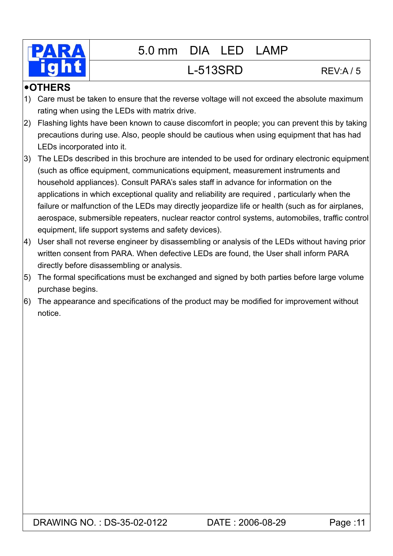

#### y**OTHERS**

- 1) Care must be taken to ensure that the reverse voltage will not exceed the absolute maximum rating when using the LEDs with matrix drive.
- 2) Flashing lights have been known to cause discomfort in people; you can prevent this by taking precautions during use. Also, people should be cautious when using equipment that has had LEDs incorporated into it.
- 3) The LEDs described in this brochure are intended to be used for ordinary electronic equipment (such as office equipment, communications equipment, measurement instruments and household appliances). Consult PARA's sales staff in advance for information on the applications in which exceptional quality and reliability are required , particularly when the failure or malfunction of the LEDs may directly jeopardize life or health (such as for airplanes, aerospace, submersible repeaters, nuclear reactor control systems, automobiles, traffic control equipment, life support systems and safety devices).
- 4) User shall not reverse engineer by disassembling or analysis of the LEDs without having prior written consent from PARA. When defective LEDs are found, the User shall inform PARA directly before disassembling or analysis.
- 5) The formal specifications must be exchanged and signed by both parties before large volume purchase begins.
- 6) The appearance and specifications of the product may be modified for improvement without notice.